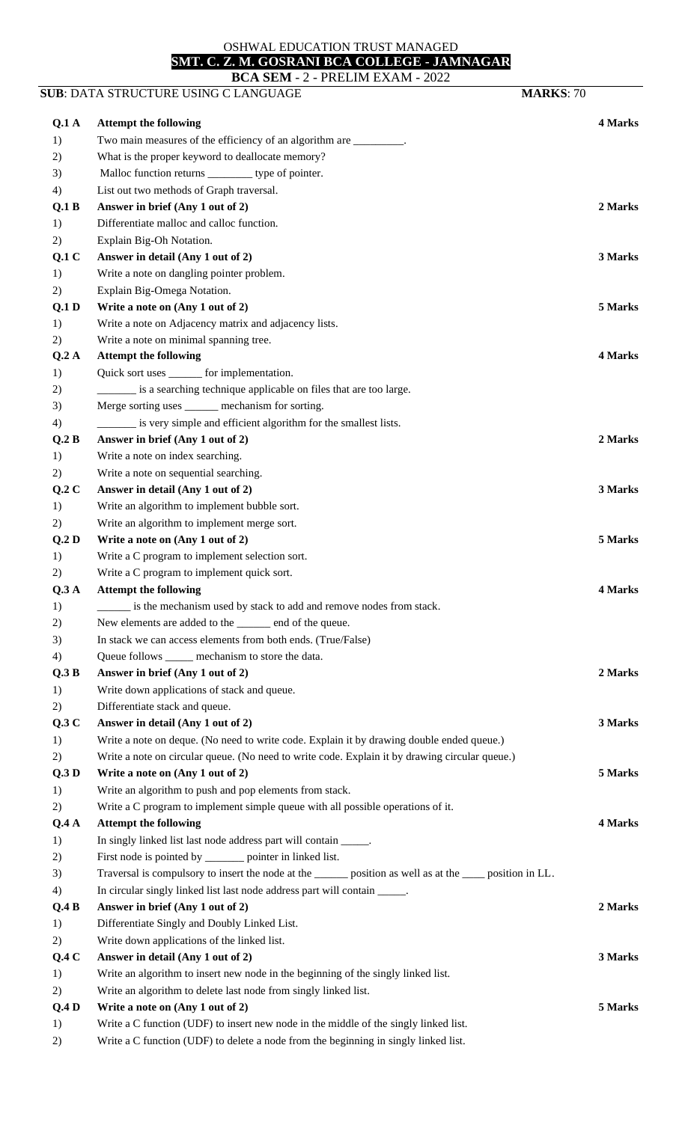## OSHWAL EDUCATION TRUST MANAGED

## **SMT. C. Z. M. GOSRANI BCA COLLEGE - JAMNAGAR**

|                  | BCA SEM - 2 - PRELIM EXAM - 2022<br>SUB: DATA STRUCTURE USING C LANGUAGE                                   | <b>MARKS: 70</b> |
|------------------|------------------------------------------------------------------------------------------------------------|------------------|
|                  |                                                                                                            |                  |
| Q.1A             | <b>Attempt the following</b>                                                                               | <b>4 Marks</b>   |
| 1)               | Two main measures of the efficiency of an algorithm are ________.                                          |                  |
| 2)               | What is the proper keyword to deallocate memory?                                                           |                  |
| 3)               | Malloc function returns ___________ type of pointer.                                                       |                  |
| 4)               | List out two methods of Graph traversal.                                                                   |                  |
| Q.1 B            | Answer in brief (Any 1 out of 2)                                                                           | 2 Marks          |
| 1)               | Differentiate malloc and calloc function.                                                                  |                  |
| 2)               | Explain Big-Oh Notation.                                                                                   |                  |
| Q.1C             | Answer in detail (Any 1 out of 2)                                                                          | 3 Marks          |
| 1)               | Write a note on dangling pointer problem.                                                                  |                  |
| 2)               | Explain Big-Omega Notation.                                                                                |                  |
| Q.1 <sub>D</sub> | Write a note on (Any 1 out of 2)                                                                           | 5 Marks          |
| 1)               | Write a note on Adjacency matrix and adjacency lists.                                                      |                  |
| 2)               | Write a note on minimal spanning tree.                                                                     |                  |
| Q.2A             | <b>Attempt the following</b>                                                                               | 4 Marks          |
| 1)               | Quick sort uses _______ for implementation.                                                                |                  |
| 2)               | is a searching technique applicable on files that are too large.                                           |                  |
| 3)               | Merge sorting uses ______ mechanism for sorting.                                                           |                  |
| 4)               | is very simple and efficient algorithm for the smallest lists.                                             |                  |
| Q.2 B            | Answer in brief (Any 1 out of 2)                                                                           | 2 Marks          |
| 1)               | Write a note on index searching.                                                                           |                  |
| 2)               | Write a note on sequential searching.                                                                      |                  |
| Q.2C             | Answer in detail (Any 1 out of 2)                                                                          | 3 Marks          |
| 1)               | Write an algorithm to implement bubble sort.                                                               |                  |
| 2)               | Write an algorithm to implement merge sort.                                                                |                  |
| Q.2D             | Write a note on (Any 1 out of 2)                                                                           | 5 Marks          |
| 1)               | Write a C program to implement selection sort.                                                             |                  |
| 2)               | Write a C program to implement quick sort.                                                                 |                  |
| Q.3A             | <b>Attempt the following</b>                                                                               | 4 Marks          |
| 1)               | is the mechanism used by stack to add and remove nodes from stack.                                         |                  |
| 2)               | New elements are added to the _____ end of the queue.                                                      |                  |
| 3)               | In stack we can access elements from both ends. (True/False)                                               |                  |
| 4)               | Queue follows _____ mechanism to store the data.                                                           |                  |
| Q.3 B            | Answer in brief (Any 1 out of 2)                                                                           | 2 Marks          |
| 1)               | Write down applications of stack and queue.                                                                |                  |
| 2)               | Differentiate stack and queue.                                                                             |                  |
| Q.3C             | Answer in detail (Any 1 out of 2)                                                                          | 3 Marks          |
| 1)               | Write a note on deque. (No need to write code. Explain it by drawing double ended queue.)                  |                  |
| 2)               | Write a note on circular queue. (No need to write code. Explain it by drawing circular queue.)             |                  |
| Q.3D             | Write a note on (Any 1 out of 2)                                                                           | 5 Marks          |
| 1)               | Write an algorithm to push and pop elements from stack.                                                    |                  |
| 2)               | Write a C program to implement simple queue with all possible operations of it.                            |                  |
| Q.4A             | <b>Attempt the following</b>                                                                               | 4 Marks          |
| 1)               | In singly linked list last node address part will contain _____.                                           |                  |
| 2)               | First node is pointed by ________ pointer in linked list.                                                  |                  |
| 3)               | Traversal is compulsory to insert the node at the _______ position as well as at the _____ position in LL. |                  |
| 4)               | In circular singly linked list last node address part will contain _____.                                  |                  |
| Q.4B             | Answer in brief (Any 1 out of 2)                                                                           | 2 Marks          |
| 1)               | Differentiate Singly and Doubly Linked List.                                                               |                  |
| 2)               | Write down applications of the linked list.                                                                |                  |
| Q.4C             | Answer in detail (Any 1 out of 2)                                                                          | 3 Marks          |
| 1)               | Write an algorithm to insert new node in the beginning of the singly linked list.                          |                  |
| 2)               | Write an algorithm to delete last node from singly linked list.                                            |                  |
| Q.4D             | Write a note on (Any 1 out of 2)                                                                           | 5 Marks          |
| 1)               | Write a C function (UDF) to insert new node in the middle of the singly linked list.                       |                  |
| 2)               | Write a C function (UDF) to delete a node from the beginning in singly linked list.                        |                  |